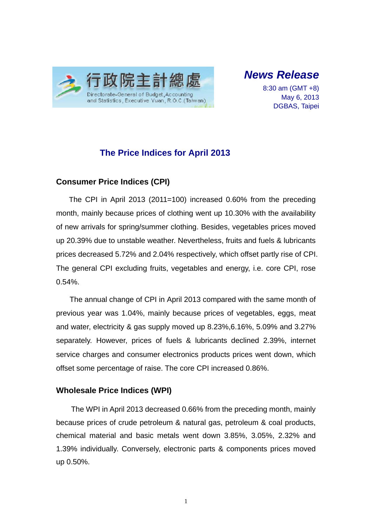

*News Release* 

8:30 am (GMT +8) May 6, 2013 DGBAS, Taipei

# **The Price Indices for April 2013**

### **Consumer Price Indices (CPI)**

The CPI in April 2013 (2011=100) increased 0.60% from the preceding month, mainly because prices of clothing went up 10.30% with the availability of new arrivals for spring/summer clothing. Besides, vegetables prices moved up 20.39% due to unstable weather. Nevertheless, fruits and fuels & lubricants prices decreased 5.72% and 2.04% respectively, which offset partly rise of CPI. The general CPI excluding fruits, vegetables and energy, i.e. core CPI, rose 0.54%.

The annual change of CPI in April 2013 compared with the same month of previous year was 1.04%, mainly because prices of vegetables, eggs, meat and water, electricity & gas supply moved up 8.23%,6.16%, 5.09% and 3.27% separately. However, prices of fuels & lubricants declined 2.39%, internet service charges and consumer electronics products prices went down, which offset some percentage of raise. The core CPI increased 0.86%.

## **Wholesale Price Indices (WPI)**

The WPI in April 2013 decreased 0.66% from the preceding month, mainly because prices of crude petroleum & natural gas, petroleum & coal products, chemical material and basic metals went down 3.85%, 3.05%, 2.32% and 1.39% individually. Conversely, electronic parts & components prices moved up 0.50%.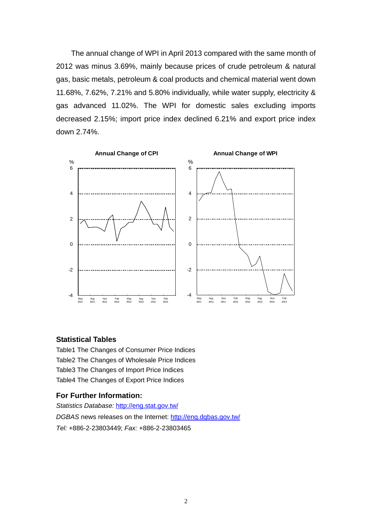The annual change of WPI in April 2013 compared with the same month of 2012 was minus 3.69%, mainly because prices of crude petroleum & natural gas, basic metals, petroleum & coal products and chemical material went down 11.68%, 7.62%, 7.21% and 5.80% individually, while water supply, electricity & gas advanced 11.02%. The WPI for domestic sales excluding imports decreased 2.15%; import price index declined 6.21% and export price index down 2.74%.



#### **Statistical Tables**

Table1 The Changes of Consumer Price Indices Table2 The Changes of Wholesale Price Indices Table3 The Changes of Import Price Indices Table4 The Changes of Export Price Indices

#### **For Further Information:**

*Statistics Database:* http://eng.stat.gov.tw/ *DGBAS* news releases on the Internet: http://eng.dgbas.gov.tw/ *Tel:* +886-2-23803449; *Fax:* +886-2-23803465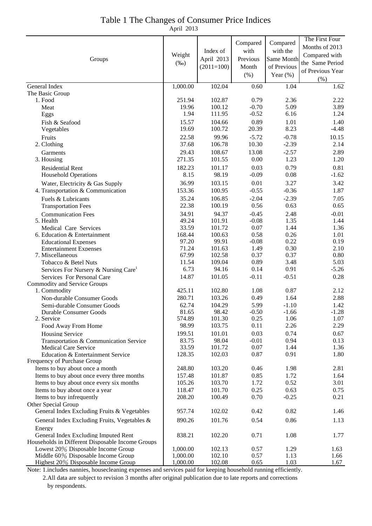# Table 1 The Changes of Consumer Price Indices

April 2013

| Months of 2013<br>Index of<br>with<br>with the<br>Compared with<br>Weight<br>April 2013<br>Previous<br>Same Month<br>Groups<br>the Same Period<br>$(\%0)$<br>$(2011=100)$<br>Month<br>of Previous<br>of Previous Year<br>$(\% )$<br>Year $(\%)$<br>(% )<br>1,000.00<br>102.04<br>General Index<br>0.60<br>1.04<br>1.62<br>The Basic Group<br>102.87<br>0.79<br>2.36<br>2.22<br>1. Food<br>251.94<br>5.09<br>19.96<br>100.12<br>$-0.70$<br>3.89<br>Meat<br>1.94<br>$-0.52$<br>6.16<br>111.95<br>1.24<br>Eggs<br>104.66<br>0.89<br>1.01<br>15.57<br>1.40<br>Fish & Seafood<br>8.23<br>19.69<br>20.39<br>$-4.48$<br>100.72<br>Vegetables<br>22.58<br>99.96<br>$-0.78$<br>$-5.72$<br>10.15<br>Fruits<br>37.68<br>106.78<br>10.30<br>$-2.39$<br>2.14<br>2. Clothing<br>29.43<br>13.08<br>108.67<br>$-2.57$<br>2.89<br>Garments<br>271.35<br>0.00<br>1.23<br>3. Housing<br>101.55<br>1.20<br>0.03<br>0.79<br>182.23<br>101.17<br>0.81<br><b>Residential Rent</b><br>8.15<br>98.19<br>$-0.09$<br>0.08<br><b>Household Operations</b><br>$-1.62$<br>36.99<br>0.01<br>3.27<br>103.15<br>3.42<br>Water, Electricity & Gas Supply<br>$-0.55$<br>$-0.36$<br>153.36<br>100.95<br>1.87<br>4. Transportation & Communication<br>106.85<br>$-2.04$<br>$-2.39$<br>35.24<br>7.05<br>Fuels & Lubricants<br>22.38<br>0.56<br>0.63<br>100.19<br>0.65<br><b>Transportation Fees</b><br>$-0.45$<br>34.91<br>94.37<br>2.48<br>$-0.01$<br><b>Communication Fees</b><br>49.24<br>$-0.08$<br>1.35<br>101.91<br>1.44<br>5. Health<br>33.59<br>0.07<br>101.72<br>1.44<br>Medical Care Services<br>1.36<br>0.58<br>0.26<br>6. Education & Entertainment<br>168.44<br>100.63<br>1.01<br>0.22<br>97.20<br>99.91<br>$-0.08$<br>0.19<br><b>Educational Expenses</b><br>1.49<br>0.30<br>71.24<br>101.63<br>2.10<br><b>Entertainment Expenses</b><br>67.99<br>0.37<br>0.37<br>102.58<br>0.80<br>7. Miscellaneous<br>0.89<br>3.48<br>5.03<br>11.54<br>109.04<br>Tobacco & Betel Nuts<br>6.73<br>94.16<br>0.14<br>0.91<br>$-5.26$<br>Services For Nursery & Nursing Care <sup>1</sup><br>14.87<br>101.05<br>$-0.11$<br>$-0.51$<br>0.28<br>Services For Personal Care<br><b>Commodity and Service Groups</b><br>425.11<br>102.80<br>1.08<br>0.87<br>2.12<br>1. Commodity<br>0.49<br>1.64<br>280.71<br>103.26<br>2.88<br>Non-durable Consumer Goods<br>5.99<br>$-1.10$<br>62.74<br>104.29<br>Semi-durable Consumer Goods<br>1.42<br>81.65<br>98.42<br>$-0.50$<br>$-1.66$<br>$-1.28$<br>Durable Consumer Goods<br>574.89<br>101.30<br>0.25<br>1.06<br>2. Service<br>1.07<br>98.99<br>0.11<br>103.75<br>2.26<br>2.29<br>Food Away From Home<br>0.03<br>0.74<br>199.51<br>101.01<br>0.67<br>Housing Service<br>83.75<br>98.04<br>$-0.01$<br>0.94<br>0.13<br>Transportation & Communication Service<br>33.59<br>0.07<br>101.72<br>1.44<br>1.36<br><b>Medical Care Service</b><br>0.87<br>0.91<br>128.35<br>102.03<br>1.80<br>Education & Entertainment Service<br>Frequency of Purchase Group<br>0.46<br>Items to buy about once a month<br>248.80<br>103.20<br>1.98<br>2.81<br>Items to buy about once every three months<br>0.85<br>1.72<br>157.48<br>101.87<br>1.64<br>1.72<br>0.52<br>Items to buy about once every six months<br>105.26<br>103.70<br>3.01<br>0.25<br>0.63<br>Items to buy about once a year<br>118.47<br>101.70<br>0.75<br>0.70<br>$-0.25$<br>0.21<br>Items to buy infrequently<br>208.20<br>100.49<br>Other Special Group<br>General Index Excluding Fruits & Vegetables<br>0.42<br>0.82<br>957.74<br>102.02<br>1.46<br>0.54<br>0.86<br>General Index Excluding Fruits, Vegetables &<br>890.26<br>101.76<br>1.13<br>Energy<br>1.08<br>General Index Excluding Imputed Rent<br>838.21<br>102.20<br>0.71<br>1.77<br>Households in Different Disposable Income Groups<br>Lowest 20% Disposable Income Group<br>1,000.00<br>102.13<br>0.57<br>1.29<br>1.63<br>Middle 60% Disposable Income Group<br>1,000.00<br>102.10<br>0.57<br>1.13<br>1.66 |                                     |          |        |          |          | The First Four |
|----------------------------------------------------------------------------------------------------------------------------------------------------------------------------------------------------------------------------------------------------------------------------------------------------------------------------------------------------------------------------------------------------------------------------------------------------------------------------------------------------------------------------------------------------------------------------------------------------------------------------------------------------------------------------------------------------------------------------------------------------------------------------------------------------------------------------------------------------------------------------------------------------------------------------------------------------------------------------------------------------------------------------------------------------------------------------------------------------------------------------------------------------------------------------------------------------------------------------------------------------------------------------------------------------------------------------------------------------------------------------------------------------------------------------------------------------------------------------------------------------------------------------------------------------------------------------------------------------------------------------------------------------------------------------------------------------------------------------------------------------------------------------------------------------------------------------------------------------------------------------------------------------------------------------------------------------------------------------------------------------------------------------------------------------------------------------------------------------------------------------------------------------------------------------------------------------------------------------------------------------------------------------------------------------------------------------------------------------------------------------------------------------------------------------------------------------------------------------------------------------------------------------------------------------------------------------------------------------------------------------------------------------------------------------------------------------------------------------------------------------------------------------------------------------------------------------------------------------------------------------------------------------------------------------------------------------------------------------------------------------------------------------------------------------------------------------------------------------------------------------------------------------------------------------------------------------------------------------------------------------------------------------------------------------------------------------------------------------------------------------------------------------------------------------------------------------------------------------------------------------------------------------------------------------------------------------------------------------------------------------------------------------------------------------------------------------------------------------------------------------------------------------------------------------------------------------------------------------------------------------------------------------------------------|-------------------------------------|----------|--------|----------|----------|----------------|
|                                                                                                                                                                                                                                                                                                                                                                                                                                                                                                                                                                                                                                                                                                                                                                                                                                                                                                                                                                                                                                                                                                                                                                                                                                                                                                                                                                                                                                                                                                                                                                                                                                                                                                                                                                                                                                                                                                                                                                                                                                                                                                                                                                                                                                                                                                                                                                                                                                                                                                                                                                                                                                                                                                                                                                                                                                                                                                                                                                                                                                                                                                                                                                                                                                                                                                                                                                                                                                                                                                                                                                                                                                                                                                                                                                                                                                                                                                                      |                                     |          |        | Compared | Compared |                |
|                                                                                                                                                                                                                                                                                                                                                                                                                                                                                                                                                                                                                                                                                                                                                                                                                                                                                                                                                                                                                                                                                                                                                                                                                                                                                                                                                                                                                                                                                                                                                                                                                                                                                                                                                                                                                                                                                                                                                                                                                                                                                                                                                                                                                                                                                                                                                                                                                                                                                                                                                                                                                                                                                                                                                                                                                                                                                                                                                                                                                                                                                                                                                                                                                                                                                                                                                                                                                                                                                                                                                                                                                                                                                                                                                                                                                                                                                                                      |                                     |          |        |          |          |                |
|                                                                                                                                                                                                                                                                                                                                                                                                                                                                                                                                                                                                                                                                                                                                                                                                                                                                                                                                                                                                                                                                                                                                                                                                                                                                                                                                                                                                                                                                                                                                                                                                                                                                                                                                                                                                                                                                                                                                                                                                                                                                                                                                                                                                                                                                                                                                                                                                                                                                                                                                                                                                                                                                                                                                                                                                                                                                                                                                                                                                                                                                                                                                                                                                                                                                                                                                                                                                                                                                                                                                                                                                                                                                                                                                                                                                                                                                                                                      |                                     |          |        |          |          |                |
|                                                                                                                                                                                                                                                                                                                                                                                                                                                                                                                                                                                                                                                                                                                                                                                                                                                                                                                                                                                                                                                                                                                                                                                                                                                                                                                                                                                                                                                                                                                                                                                                                                                                                                                                                                                                                                                                                                                                                                                                                                                                                                                                                                                                                                                                                                                                                                                                                                                                                                                                                                                                                                                                                                                                                                                                                                                                                                                                                                                                                                                                                                                                                                                                                                                                                                                                                                                                                                                                                                                                                                                                                                                                                                                                                                                                                                                                                                                      |                                     |          |        |          |          |                |
|                                                                                                                                                                                                                                                                                                                                                                                                                                                                                                                                                                                                                                                                                                                                                                                                                                                                                                                                                                                                                                                                                                                                                                                                                                                                                                                                                                                                                                                                                                                                                                                                                                                                                                                                                                                                                                                                                                                                                                                                                                                                                                                                                                                                                                                                                                                                                                                                                                                                                                                                                                                                                                                                                                                                                                                                                                                                                                                                                                                                                                                                                                                                                                                                                                                                                                                                                                                                                                                                                                                                                                                                                                                                                                                                                                                                                                                                                                                      |                                     |          |        |          |          |                |
|                                                                                                                                                                                                                                                                                                                                                                                                                                                                                                                                                                                                                                                                                                                                                                                                                                                                                                                                                                                                                                                                                                                                                                                                                                                                                                                                                                                                                                                                                                                                                                                                                                                                                                                                                                                                                                                                                                                                                                                                                                                                                                                                                                                                                                                                                                                                                                                                                                                                                                                                                                                                                                                                                                                                                                                                                                                                                                                                                                                                                                                                                                                                                                                                                                                                                                                                                                                                                                                                                                                                                                                                                                                                                                                                                                                                                                                                                                                      |                                     |          |        |          |          |                |
|                                                                                                                                                                                                                                                                                                                                                                                                                                                                                                                                                                                                                                                                                                                                                                                                                                                                                                                                                                                                                                                                                                                                                                                                                                                                                                                                                                                                                                                                                                                                                                                                                                                                                                                                                                                                                                                                                                                                                                                                                                                                                                                                                                                                                                                                                                                                                                                                                                                                                                                                                                                                                                                                                                                                                                                                                                                                                                                                                                                                                                                                                                                                                                                                                                                                                                                                                                                                                                                                                                                                                                                                                                                                                                                                                                                                                                                                                                                      |                                     |          |        |          |          |                |
|                                                                                                                                                                                                                                                                                                                                                                                                                                                                                                                                                                                                                                                                                                                                                                                                                                                                                                                                                                                                                                                                                                                                                                                                                                                                                                                                                                                                                                                                                                                                                                                                                                                                                                                                                                                                                                                                                                                                                                                                                                                                                                                                                                                                                                                                                                                                                                                                                                                                                                                                                                                                                                                                                                                                                                                                                                                                                                                                                                                                                                                                                                                                                                                                                                                                                                                                                                                                                                                                                                                                                                                                                                                                                                                                                                                                                                                                                                                      |                                     |          |        |          |          |                |
|                                                                                                                                                                                                                                                                                                                                                                                                                                                                                                                                                                                                                                                                                                                                                                                                                                                                                                                                                                                                                                                                                                                                                                                                                                                                                                                                                                                                                                                                                                                                                                                                                                                                                                                                                                                                                                                                                                                                                                                                                                                                                                                                                                                                                                                                                                                                                                                                                                                                                                                                                                                                                                                                                                                                                                                                                                                                                                                                                                                                                                                                                                                                                                                                                                                                                                                                                                                                                                                                                                                                                                                                                                                                                                                                                                                                                                                                                                                      |                                     |          |        |          |          |                |
|                                                                                                                                                                                                                                                                                                                                                                                                                                                                                                                                                                                                                                                                                                                                                                                                                                                                                                                                                                                                                                                                                                                                                                                                                                                                                                                                                                                                                                                                                                                                                                                                                                                                                                                                                                                                                                                                                                                                                                                                                                                                                                                                                                                                                                                                                                                                                                                                                                                                                                                                                                                                                                                                                                                                                                                                                                                                                                                                                                                                                                                                                                                                                                                                                                                                                                                                                                                                                                                                                                                                                                                                                                                                                                                                                                                                                                                                                                                      |                                     |          |        |          |          |                |
|                                                                                                                                                                                                                                                                                                                                                                                                                                                                                                                                                                                                                                                                                                                                                                                                                                                                                                                                                                                                                                                                                                                                                                                                                                                                                                                                                                                                                                                                                                                                                                                                                                                                                                                                                                                                                                                                                                                                                                                                                                                                                                                                                                                                                                                                                                                                                                                                                                                                                                                                                                                                                                                                                                                                                                                                                                                                                                                                                                                                                                                                                                                                                                                                                                                                                                                                                                                                                                                                                                                                                                                                                                                                                                                                                                                                                                                                                                                      |                                     |          |        |          |          |                |
|                                                                                                                                                                                                                                                                                                                                                                                                                                                                                                                                                                                                                                                                                                                                                                                                                                                                                                                                                                                                                                                                                                                                                                                                                                                                                                                                                                                                                                                                                                                                                                                                                                                                                                                                                                                                                                                                                                                                                                                                                                                                                                                                                                                                                                                                                                                                                                                                                                                                                                                                                                                                                                                                                                                                                                                                                                                                                                                                                                                                                                                                                                                                                                                                                                                                                                                                                                                                                                                                                                                                                                                                                                                                                                                                                                                                                                                                                                                      |                                     |          |        |          |          |                |
|                                                                                                                                                                                                                                                                                                                                                                                                                                                                                                                                                                                                                                                                                                                                                                                                                                                                                                                                                                                                                                                                                                                                                                                                                                                                                                                                                                                                                                                                                                                                                                                                                                                                                                                                                                                                                                                                                                                                                                                                                                                                                                                                                                                                                                                                                                                                                                                                                                                                                                                                                                                                                                                                                                                                                                                                                                                                                                                                                                                                                                                                                                                                                                                                                                                                                                                                                                                                                                                                                                                                                                                                                                                                                                                                                                                                                                                                                                                      |                                     |          |        |          |          |                |
|                                                                                                                                                                                                                                                                                                                                                                                                                                                                                                                                                                                                                                                                                                                                                                                                                                                                                                                                                                                                                                                                                                                                                                                                                                                                                                                                                                                                                                                                                                                                                                                                                                                                                                                                                                                                                                                                                                                                                                                                                                                                                                                                                                                                                                                                                                                                                                                                                                                                                                                                                                                                                                                                                                                                                                                                                                                                                                                                                                                                                                                                                                                                                                                                                                                                                                                                                                                                                                                                                                                                                                                                                                                                                                                                                                                                                                                                                                                      |                                     |          |        |          |          |                |
|                                                                                                                                                                                                                                                                                                                                                                                                                                                                                                                                                                                                                                                                                                                                                                                                                                                                                                                                                                                                                                                                                                                                                                                                                                                                                                                                                                                                                                                                                                                                                                                                                                                                                                                                                                                                                                                                                                                                                                                                                                                                                                                                                                                                                                                                                                                                                                                                                                                                                                                                                                                                                                                                                                                                                                                                                                                                                                                                                                                                                                                                                                                                                                                                                                                                                                                                                                                                                                                                                                                                                                                                                                                                                                                                                                                                                                                                                                                      |                                     |          |        |          |          |                |
|                                                                                                                                                                                                                                                                                                                                                                                                                                                                                                                                                                                                                                                                                                                                                                                                                                                                                                                                                                                                                                                                                                                                                                                                                                                                                                                                                                                                                                                                                                                                                                                                                                                                                                                                                                                                                                                                                                                                                                                                                                                                                                                                                                                                                                                                                                                                                                                                                                                                                                                                                                                                                                                                                                                                                                                                                                                                                                                                                                                                                                                                                                                                                                                                                                                                                                                                                                                                                                                                                                                                                                                                                                                                                                                                                                                                                                                                                                                      |                                     |          |        |          |          |                |
|                                                                                                                                                                                                                                                                                                                                                                                                                                                                                                                                                                                                                                                                                                                                                                                                                                                                                                                                                                                                                                                                                                                                                                                                                                                                                                                                                                                                                                                                                                                                                                                                                                                                                                                                                                                                                                                                                                                                                                                                                                                                                                                                                                                                                                                                                                                                                                                                                                                                                                                                                                                                                                                                                                                                                                                                                                                                                                                                                                                                                                                                                                                                                                                                                                                                                                                                                                                                                                                                                                                                                                                                                                                                                                                                                                                                                                                                                                                      |                                     |          |        |          |          |                |
|                                                                                                                                                                                                                                                                                                                                                                                                                                                                                                                                                                                                                                                                                                                                                                                                                                                                                                                                                                                                                                                                                                                                                                                                                                                                                                                                                                                                                                                                                                                                                                                                                                                                                                                                                                                                                                                                                                                                                                                                                                                                                                                                                                                                                                                                                                                                                                                                                                                                                                                                                                                                                                                                                                                                                                                                                                                                                                                                                                                                                                                                                                                                                                                                                                                                                                                                                                                                                                                                                                                                                                                                                                                                                                                                                                                                                                                                                                                      |                                     |          |        |          |          |                |
|                                                                                                                                                                                                                                                                                                                                                                                                                                                                                                                                                                                                                                                                                                                                                                                                                                                                                                                                                                                                                                                                                                                                                                                                                                                                                                                                                                                                                                                                                                                                                                                                                                                                                                                                                                                                                                                                                                                                                                                                                                                                                                                                                                                                                                                                                                                                                                                                                                                                                                                                                                                                                                                                                                                                                                                                                                                                                                                                                                                                                                                                                                                                                                                                                                                                                                                                                                                                                                                                                                                                                                                                                                                                                                                                                                                                                                                                                                                      |                                     |          |        |          |          |                |
|                                                                                                                                                                                                                                                                                                                                                                                                                                                                                                                                                                                                                                                                                                                                                                                                                                                                                                                                                                                                                                                                                                                                                                                                                                                                                                                                                                                                                                                                                                                                                                                                                                                                                                                                                                                                                                                                                                                                                                                                                                                                                                                                                                                                                                                                                                                                                                                                                                                                                                                                                                                                                                                                                                                                                                                                                                                                                                                                                                                                                                                                                                                                                                                                                                                                                                                                                                                                                                                                                                                                                                                                                                                                                                                                                                                                                                                                                                                      |                                     |          |        |          |          |                |
|                                                                                                                                                                                                                                                                                                                                                                                                                                                                                                                                                                                                                                                                                                                                                                                                                                                                                                                                                                                                                                                                                                                                                                                                                                                                                                                                                                                                                                                                                                                                                                                                                                                                                                                                                                                                                                                                                                                                                                                                                                                                                                                                                                                                                                                                                                                                                                                                                                                                                                                                                                                                                                                                                                                                                                                                                                                                                                                                                                                                                                                                                                                                                                                                                                                                                                                                                                                                                                                                                                                                                                                                                                                                                                                                                                                                                                                                                                                      |                                     |          |        |          |          |                |
|                                                                                                                                                                                                                                                                                                                                                                                                                                                                                                                                                                                                                                                                                                                                                                                                                                                                                                                                                                                                                                                                                                                                                                                                                                                                                                                                                                                                                                                                                                                                                                                                                                                                                                                                                                                                                                                                                                                                                                                                                                                                                                                                                                                                                                                                                                                                                                                                                                                                                                                                                                                                                                                                                                                                                                                                                                                                                                                                                                                                                                                                                                                                                                                                                                                                                                                                                                                                                                                                                                                                                                                                                                                                                                                                                                                                                                                                                                                      |                                     |          |        |          |          |                |
|                                                                                                                                                                                                                                                                                                                                                                                                                                                                                                                                                                                                                                                                                                                                                                                                                                                                                                                                                                                                                                                                                                                                                                                                                                                                                                                                                                                                                                                                                                                                                                                                                                                                                                                                                                                                                                                                                                                                                                                                                                                                                                                                                                                                                                                                                                                                                                                                                                                                                                                                                                                                                                                                                                                                                                                                                                                                                                                                                                                                                                                                                                                                                                                                                                                                                                                                                                                                                                                                                                                                                                                                                                                                                                                                                                                                                                                                                                                      |                                     |          |        |          |          |                |
|                                                                                                                                                                                                                                                                                                                                                                                                                                                                                                                                                                                                                                                                                                                                                                                                                                                                                                                                                                                                                                                                                                                                                                                                                                                                                                                                                                                                                                                                                                                                                                                                                                                                                                                                                                                                                                                                                                                                                                                                                                                                                                                                                                                                                                                                                                                                                                                                                                                                                                                                                                                                                                                                                                                                                                                                                                                                                                                                                                                                                                                                                                                                                                                                                                                                                                                                                                                                                                                                                                                                                                                                                                                                                                                                                                                                                                                                                                                      |                                     |          |        |          |          |                |
|                                                                                                                                                                                                                                                                                                                                                                                                                                                                                                                                                                                                                                                                                                                                                                                                                                                                                                                                                                                                                                                                                                                                                                                                                                                                                                                                                                                                                                                                                                                                                                                                                                                                                                                                                                                                                                                                                                                                                                                                                                                                                                                                                                                                                                                                                                                                                                                                                                                                                                                                                                                                                                                                                                                                                                                                                                                                                                                                                                                                                                                                                                                                                                                                                                                                                                                                                                                                                                                                                                                                                                                                                                                                                                                                                                                                                                                                                                                      |                                     |          |        |          |          |                |
|                                                                                                                                                                                                                                                                                                                                                                                                                                                                                                                                                                                                                                                                                                                                                                                                                                                                                                                                                                                                                                                                                                                                                                                                                                                                                                                                                                                                                                                                                                                                                                                                                                                                                                                                                                                                                                                                                                                                                                                                                                                                                                                                                                                                                                                                                                                                                                                                                                                                                                                                                                                                                                                                                                                                                                                                                                                                                                                                                                                                                                                                                                                                                                                                                                                                                                                                                                                                                                                                                                                                                                                                                                                                                                                                                                                                                                                                                                                      |                                     |          |        |          |          |                |
|                                                                                                                                                                                                                                                                                                                                                                                                                                                                                                                                                                                                                                                                                                                                                                                                                                                                                                                                                                                                                                                                                                                                                                                                                                                                                                                                                                                                                                                                                                                                                                                                                                                                                                                                                                                                                                                                                                                                                                                                                                                                                                                                                                                                                                                                                                                                                                                                                                                                                                                                                                                                                                                                                                                                                                                                                                                                                                                                                                                                                                                                                                                                                                                                                                                                                                                                                                                                                                                                                                                                                                                                                                                                                                                                                                                                                                                                                                                      |                                     |          |        |          |          |                |
|                                                                                                                                                                                                                                                                                                                                                                                                                                                                                                                                                                                                                                                                                                                                                                                                                                                                                                                                                                                                                                                                                                                                                                                                                                                                                                                                                                                                                                                                                                                                                                                                                                                                                                                                                                                                                                                                                                                                                                                                                                                                                                                                                                                                                                                                                                                                                                                                                                                                                                                                                                                                                                                                                                                                                                                                                                                                                                                                                                                                                                                                                                                                                                                                                                                                                                                                                                                                                                                                                                                                                                                                                                                                                                                                                                                                                                                                                                                      |                                     |          |        |          |          |                |
|                                                                                                                                                                                                                                                                                                                                                                                                                                                                                                                                                                                                                                                                                                                                                                                                                                                                                                                                                                                                                                                                                                                                                                                                                                                                                                                                                                                                                                                                                                                                                                                                                                                                                                                                                                                                                                                                                                                                                                                                                                                                                                                                                                                                                                                                                                                                                                                                                                                                                                                                                                                                                                                                                                                                                                                                                                                                                                                                                                                                                                                                                                                                                                                                                                                                                                                                                                                                                                                                                                                                                                                                                                                                                                                                                                                                                                                                                                                      |                                     |          |        |          |          |                |
|                                                                                                                                                                                                                                                                                                                                                                                                                                                                                                                                                                                                                                                                                                                                                                                                                                                                                                                                                                                                                                                                                                                                                                                                                                                                                                                                                                                                                                                                                                                                                                                                                                                                                                                                                                                                                                                                                                                                                                                                                                                                                                                                                                                                                                                                                                                                                                                                                                                                                                                                                                                                                                                                                                                                                                                                                                                                                                                                                                                                                                                                                                                                                                                                                                                                                                                                                                                                                                                                                                                                                                                                                                                                                                                                                                                                                                                                                                                      |                                     |          |        |          |          |                |
|                                                                                                                                                                                                                                                                                                                                                                                                                                                                                                                                                                                                                                                                                                                                                                                                                                                                                                                                                                                                                                                                                                                                                                                                                                                                                                                                                                                                                                                                                                                                                                                                                                                                                                                                                                                                                                                                                                                                                                                                                                                                                                                                                                                                                                                                                                                                                                                                                                                                                                                                                                                                                                                                                                                                                                                                                                                                                                                                                                                                                                                                                                                                                                                                                                                                                                                                                                                                                                                                                                                                                                                                                                                                                                                                                                                                                                                                                                                      |                                     |          |        |          |          |                |
|                                                                                                                                                                                                                                                                                                                                                                                                                                                                                                                                                                                                                                                                                                                                                                                                                                                                                                                                                                                                                                                                                                                                                                                                                                                                                                                                                                                                                                                                                                                                                                                                                                                                                                                                                                                                                                                                                                                                                                                                                                                                                                                                                                                                                                                                                                                                                                                                                                                                                                                                                                                                                                                                                                                                                                                                                                                                                                                                                                                                                                                                                                                                                                                                                                                                                                                                                                                                                                                                                                                                                                                                                                                                                                                                                                                                                                                                                                                      |                                     |          |        |          |          |                |
|                                                                                                                                                                                                                                                                                                                                                                                                                                                                                                                                                                                                                                                                                                                                                                                                                                                                                                                                                                                                                                                                                                                                                                                                                                                                                                                                                                                                                                                                                                                                                                                                                                                                                                                                                                                                                                                                                                                                                                                                                                                                                                                                                                                                                                                                                                                                                                                                                                                                                                                                                                                                                                                                                                                                                                                                                                                                                                                                                                                                                                                                                                                                                                                                                                                                                                                                                                                                                                                                                                                                                                                                                                                                                                                                                                                                                                                                                                                      |                                     |          |        |          |          |                |
|                                                                                                                                                                                                                                                                                                                                                                                                                                                                                                                                                                                                                                                                                                                                                                                                                                                                                                                                                                                                                                                                                                                                                                                                                                                                                                                                                                                                                                                                                                                                                                                                                                                                                                                                                                                                                                                                                                                                                                                                                                                                                                                                                                                                                                                                                                                                                                                                                                                                                                                                                                                                                                                                                                                                                                                                                                                                                                                                                                                                                                                                                                                                                                                                                                                                                                                                                                                                                                                                                                                                                                                                                                                                                                                                                                                                                                                                                                                      |                                     |          |        |          |          |                |
|                                                                                                                                                                                                                                                                                                                                                                                                                                                                                                                                                                                                                                                                                                                                                                                                                                                                                                                                                                                                                                                                                                                                                                                                                                                                                                                                                                                                                                                                                                                                                                                                                                                                                                                                                                                                                                                                                                                                                                                                                                                                                                                                                                                                                                                                                                                                                                                                                                                                                                                                                                                                                                                                                                                                                                                                                                                                                                                                                                                                                                                                                                                                                                                                                                                                                                                                                                                                                                                                                                                                                                                                                                                                                                                                                                                                                                                                                                                      |                                     |          |        |          |          |                |
|                                                                                                                                                                                                                                                                                                                                                                                                                                                                                                                                                                                                                                                                                                                                                                                                                                                                                                                                                                                                                                                                                                                                                                                                                                                                                                                                                                                                                                                                                                                                                                                                                                                                                                                                                                                                                                                                                                                                                                                                                                                                                                                                                                                                                                                                                                                                                                                                                                                                                                                                                                                                                                                                                                                                                                                                                                                                                                                                                                                                                                                                                                                                                                                                                                                                                                                                                                                                                                                                                                                                                                                                                                                                                                                                                                                                                                                                                                                      |                                     |          |        |          |          |                |
|                                                                                                                                                                                                                                                                                                                                                                                                                                                                                                                                                                                                                                                                                                                                                                                                                                                                                                                                                                                                                                                                                                                                                                                                                                                                                                                                                                                                                                                                                                                                                                                                                                                                                                                                                                                                                                                                                                                                                                                                                                                                                                                                                                                                                                                                                                                                                                                                                                                                                                                                                                                                                                                                                                                                                                                                                                                                                                                                                                                                                                                                                                                                                                                                                                                                                                                                                                                                                                                                                                                                                                                                                                                                                                                                                                                                                                                                                                                      |                                     |          |        |          |          |                |
|                                                                                                                                                                                                                                                                                                                                                                                                                                                                                                                                                                                                                                                                                                                                                                                                                                                                                                                                                                                                                                                                                                                                                                                                                                                                                                                                                                                                                                                                                                                                                                                                                                                                                                                                                                                                                                                                                                                                                                                                                                                                                                                                                                                                                                                                                                                                                                                                                                                                                                                                                                                                                                                                                                                                                                                                                                                                                                                                                                                                                                                                                                                                                                                                                                                                                                                                                                                                                                                                                                                                                                                                                                                                                                                                                                                                                                                                                                                      |                                     |          |        |          |          |                |
|                                                                                                                                                                                                                                                                                                                                                                                                                                                                                                                                                                                                                                                                                                                                                                                                                                                                                                                                                                                                                                                                                                                                                                                                                                                                                                                                                                                                                                                                                                                                                                                                                                                                                                                                                                                                                                                                                                                                                                                                                                                                                                                                                                                                                                                                                                                                                                                                                                                                                                                                                                                                                                                                                                                                                                                                                                                                                                                                                                                                                                                                                                                                                                                                                                                                                                                                                                                                                                                                                                                                                                                                                                                                                                                                                                                                                                                                                                                      |                                     |          |        |          |          |                |
|                                                                                                                                                                                                                                                                                                                                                                                                                                                                                                                                                                                                                                                                                                                                                                                                                                                                                                                                                                                                                                                                                                                                                                                                                                                                                                                                                                                                                                                                                                                                                                                                                                                                                                                                                                                                                                                                                                                                                                                                                                                                                                                                                                                                                                                                                                                                                                                                                                                                                                                                                                                                                                                                                                                                                                                                                                                                                                                                                                                                                                                                                                                                                                                                                                                                                                                                                                                                                                                                                                                                                                                                                                                                                                                                                                                                                                                                                                                      |                                     |          |        |          |          |                |
|                                                                                                                                                                                                                                                                                                                                                                                                                                                                                                                                                                                                                                                                                                                                                                                                                                                                                                                                                                                                                                                                                                                                                                                                                                                                                                                                                                                                                                                                                                                                                                                                                                                                                                                                                                                                                                                                                                                                                                                                                                                                                                                                                                                                                                                                                                                                                                                                                                                                                                                                                                                                                                                                                                                                                                                                                                                                                                                                                                                                                                                                                                                                                                                                                                                                                                                                                                                                                                                                                                                                                                                                                                                                                                                                                                                                                                                                                                                      |                                     |          |        |          |          |                |
|                                                                                                                                                                                                                                                                                                                                                                                                                                                                                                                                                                                                                                                                                                                                                                                                                                                                                                                                                                                                                                                                                                                                                                                                                                                                                                                                                                                                                                                                                                                                                                                                                                                                                                                                                                                                                                                                                                                                                                                                                                                                                                                                                                                                                                                                                                                                                                                                                                                                                                                                                                                                                                                                                                                                                                                                                                                                                                                                                                                                                                                                                                                                                                                                                                                                                                                                                                                                                                                                                                                                                                                                                                                                                                                                                                                                                                                                                                                      |                                     |          |        |          |          |                |
|                                                                                                                                                                                                                                                                                                                                                                                                                                                                                                                                                                                                                                                                                                                                                                                                                                                                                                                                                                                                                                                                                                                                                                                                                                                                                                                                                                                                                                                                                                                                                                                                                                                                                                                                                                                                                                                                                                                                                                                                                                                                                                                                                                                                                                                                                                                                                                                                                                                                                                                                                                                                                                                                                                                                                                                                                                                                                                                                                                                                                                                                                                                                                                                                                                                                                                                                                                                                                                                                                                                                                                                                                                                                                                                                                                                                                                                                                                                      |                                     |          |        |          |          |                |
|                                                                                                                                                                                                                                                                                                                                                                                                                                                                                                                                                                                                                                                                                                                                                                                                                                                                                                                                                                                                                                                                                                                                                                                                                                                                                                                                                                                                                                                                                                                                                                                                                                                                                                                                                                                                                                                                                                                                                                                                                                                                                                                                                                                                                                                                                                                                                                                                                                                                                                                                                                                                                                                                                                                                                                                                                                                                                                                                                                                                                                                                                                                                                                                                                                                                                                                                                                                                                                                                                                                                                                                                                                                                                                                                                                                                                                                                                                                      |                                     |          |        |          |          |                |
|                                                                                                                                                                                                                                                                                                                                                                                                                                                                                                                                                                                                                                                                                                                                                                                                                                                                                                                                                                                                                                                                                                                                                                                                                                                                                                                                                                                                                                                                                                                                                                                                                                                                                                                                                                                                                                                                                                                                                                                                                                                                                                                                                                                                                                                                                                                                                                                                                                                                                                                                                                                                                                                                                                                                                                                                                                                                                                                                                                                                                                                                                                                                                                                                                                                                                                                                                                                                                                                                                                                                                                                                                                                                                                                                                                                                                                                                                                                      |                                     |          |        |          |          |                |
|                                                                                                                                                                                                                                                                                                                                                                                                                                                                                                                                                                                                                                                                                                                                                                                                                                                                                                                                                                                                                                                                                                                                                                                                                                                                                                                                                                                                                                                                                                                                                                                                                                                                                                                                                                                                                                                                                                                                                                                                                                                                                                                                                                                                                                                                                                                                                                                                                                                                                                                                                                                                                                                                                                                                                                                                                                                                                                                                                                                                                                                                                                                                                                                                                                                                                                                                                                                                                                                                                                                                                                                                                                                                                                                                                                                                                                                                                                                      |                                     |          |        |          |          |                |
|                                                                                                                                                                                                                                                                                                                                                                                                                                                                                                                                                                                                                                                                                                                                                                                                                                                                                                                                                                                                                                                                                                                                                                                                                                                                                                                                                                                                                                                                                                                                                                                                                                                                                                                                                                                                                                                                                                                                                                                                                                                                                                                                                                                                                                                                                                                                                                                                                                                                                                                                                                                                                                                                                                                                                                                                                                                                                                                                                                                                                                                                                                                                                                                                                                                                                                                                                                                                                                                                                                                                                                                                                                                                                                                                                                                                                                                                                                                      |                                     |          |        |          |          |                |
|                                                                                                                                                                                                                                                                                                                                                                                                                                                                                                                                                                                                                                                                                                                                                                                                                                                                                                                                                                                                                                                                                                                                                                                                                                                                                                                                                                                                                                                                                                                                                                                                                                                                                                                                                                                                                                                                                                                                                                                                                                                                                                                                                                                                                                                                                                                                                                                                                                                                                                                                                                                                                                                                                                                                                                                                                                                                                                                                                                                                                                                                                                                                                                                                                                                                                                                                                                                                                                                                                                                                                                                                                                                                                                                                                                                                                                                                                                                      |                                     |          |        |          |          |                |
|                                                                                                                                                                                                                                                                                                                                                                                                                                                                                                                                                                                                                                                                                                                                                                                                                                                                                                                                                                                                                                                                                                                                                                                                                                                                                                                                                                                                                                                                                                                                                                                                                                                                                                                                                                                                                                                                                                                                                                                                                                                                                                                                                                                                                                                                                                                                                                                                                                                                                                                                                                                                                                                                                                                                                                                                                                                                                                                                                                                                                                                                                                                                                                                                                                                                                                                                                                                                                                                                                                                                                                                                                                                                                                                                                                                                                                                                                                                      |                                     |          |        |          |          |                |
|                                                                                                                                                                                                                                                                                                                                                                                                                                                                                                                                                                                                                                                                                                                                                                                                                                                                                                                                                                                                                                                                                                                                                                                                                                                                                                                                                                                                                                                                                                                                                                                                                                                                                                                                                                                                                                                                                                                                                                                                                                                                                                                                                                                                                                                                                                                                                                                                                                                                                                                                                                                                                                                                                                                                                                                                                                                                                                                                                                                                                                                                                                                                                                                                                                                                                                                                                                                                                                                                                                                                                                                                                                                                                                                                                                                                                                                                                                                      |                                     |          |        |          |          |                |
|                                                                                                                                                                                                                                                                                                                                                                                                                                                                                                                                                                                                                                                                                                                                                                                                                                                                                                                                                                                                                                                                                                                                                                                                                                                                                                                                                                                                                                                                                                                                                                                                                                                                                                                                                                                                                                                                                                                                                                                                                                                                                                                                                                                                                                                                                                                                                                                                                                                                                                                                                                                                                                                                                                                                                                                                                                                                                                                                                                                                                                                                                                                                                                                                                                                                                                                                                                                                                                                                                                                                                                                                                                                                                                                                                                                                                                                                                                                      |                                     |          |        |          |          |                |
|                                                                                                                                                                                                                                                                                                                                                                                                                                                                                                                                                                                                                                                                                                                                                                                                                                                                                                                                                                                                                                                                                                                                                                                                                                                                                                                                                                                                                                                                                                                                                                                                                                                                                                                                                                                                                                                                                                                                                                                                                                                                                                                                                                                                                                                                                                                                                                                                                                                                                                                                                                                                                                                                                                                                                                                                                                                                                                                                                                                                                                                                                                                                                                                                                                                                                                                                                                                                                                                                                                                                                                                                                                                                                                                                                                                                                                                                                                                      |                                     |          |        |          |          |                |
|                                                                                                                                                                                                                                                                                                                                                                                                                                                                                                                                                                                                                                                                                                                                                                                                                                                                                                                                                                                                                                                                                                                                                                                                                                                                                                                                                                                                                                                                                                                                                                                                                                                                                                                                                                                                                                                                                                                                                                                                                                                                                                                                                                                                                                                                                                                                                                                                                                                                                                                                                                                                                                                                                                                                                                                                                                                                                                                                                                                                                                                                                                                                                                                                                                                                                                                                                                                                                                                                                                                                                                                                                                                                                                                                                                                                                                                                                                                      |                                     |          |        |          |          |                |
|                                                                                                                                                                                                                                                                                                                                                                                                                                                                                                                                                                                                                                                                                                                                                                                                                                                                                                                                                                                                                                                                                                                                                                                                                                                                                                                                                                                                                                                                                                                                                                                                                                                                                                                                                                                                                                                                                                                                                                                                                                                                                                                                                                                                                                                                                                                                                                                                                                                                                                                                                                                                                                                                                                                                                                                                                                                                                                                                                                                                                                                                                                                                                                                                                                                                                                                                                                                                                                                                                                                                                                                                                                                                                                                                                                                                                                                                                                                      |                                     |          |        |          |          |                |
| 1.67                                                                                                                                                                                                                                                                                                                                                                                                                                                                                                                                                                                                                                                                                                                                                                                                                                                                                                                                                                                                                                                                                                                                                                                                                                                                                                                                                                                                                                                                                                                                                                                                                                                                                                                                                                                                                                                                                                                                                                                                                                                                                                                                                                                                                                                                                                                                                                                                                                                                                                                                                                                                                                                                                                                                                                                                                                                                                                                                                                                                                                                                                                                                                                                                                                                                                                                                                                                                                                                                                                                                                                                                                                                                                                                                                                                                                                                                                                                 | Highest 20% Disposable Income Group | 1,000.00 | 102.08 | 0.65     | 1.03     |                |

Note: 1.includes nannies, housecleaning expenses and services paid for keeping household running efficiently. 2.All data are subject to revision 3 months after original publication due to late reports and corrections by respondents.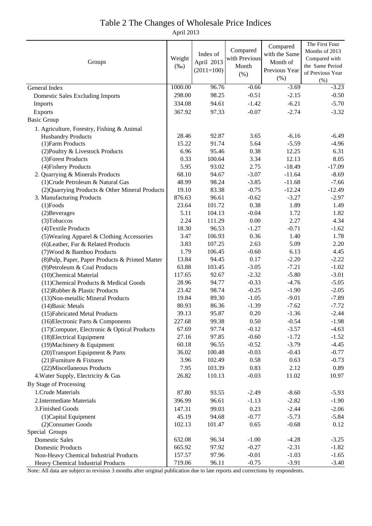## Table 2 The Changes of Wholesale Price Indices

April 2013

| Groups                                           |         |              |               | Compared      | The First Four           |
|--------------------------------------------------|---------|--------------|---------------|---------------|--------------------------|
|                                                  |         | Index of     | Compared      | with the Same | Months of 2013           |
|                                                  |         | April 2013   | with Previous | Month of      | Compared with            |
|                                                  |         | $(2011=100)$ | Month         | Previous Year | the Same Period          |
|                                                  |         |              | (% )          | $(\% )$       | of Previous Year<br>(% ) |
| General Index                                    | 1000.00 | 96.76        | $-0.66$       | $-3.69$       | $-3.23$                  |
| <b>Domestic Sales Excluding Imports</b>          | 298.00  | 98.25        | $-0.51$       | $-2.15$       | $-0.50$                  |
| Imports                                          | 334.08  | 94.61        | $-1.42$       | $-6.21$       | $-5.70$                  |
| Exports                                          | 367.92  | 97.33        | $-0.07$       | $-2.74$       | $-3.32$                  |
| <b>Basic Group</b>                               |         |              |               |               |                          |
| 1. Agriculture, Forestry, Fishing & Animal       |         |              |               |               |                          |
| <b>Husbandry Products</b>                        | 28.46   | 92.87        | 3.65          | $-6.16$       | $-6.49$                  |
| (1) Farm Products                                | 15.22   | 91.74        | 5.64          | $-5.59$       | $-4.96$                  |
| (2) Poultry & Livestock Products                 | 6.96    | 95.46        | 0.38          | 12.25         | 6.31                     |
| (3) Forest Products                              | 0.33    | 100.64       | 3.34          | 12.13         | 8.05                     |
| (4) Fishery Products                             | 5.95    | 93.02        | 2.75          | $-18.49$      | $-17.09$                 |
| 2. Quarrying & Minerals Products                 | 68.10   | 94.67        | $-3.07$       | $-11.64$      | $-8.69$                  |
| (1) Crude Petroleum & Natural Gas                | 48.99   | 98.24        | $-3.85$       | $-11.68$      | $-7.66$                  |
| (2) Quarrying Products & Other Mineral Products  | 19.10   | 83.38        | $-0.75$       | $-12.24$      | $-12.49$                 |
| 3. Manufacturing Products                        | 876.63  | 96.61        | $-0.62$       | $-3.27$       | $-2.97$                  |
| $(1)$ Foods                                      | 23.64   | 101.72       | 0.38          | 1.89          | 1.49                     |
| (2) Beverages                                    | 5.11    | 104.13       | $-0.04$       | 1.72          | 1.82                     |
| (3) Tobaccos                                     | 2.24    | 111.29       | 0.00          | 2.27          | 4.34                     |
| (4) Textile Products                             | 18.30   | 96.53        | $-1.27$       | $-0.71$       | $-1.62$                  |
| (5) Wearing Apparel & Clothing Accessories       | 3.47    | 106.93       | 0.36          | 1.40          | 1.78                     |
| (6) Leather, Fur & Related Products              | 3.83    | 107.25       | 2.63          | 5.09          | 2.20                     |
| (7) Wood & Bamboo Products                       | 1.79    | 106.45       | $-0.60$       | 6.13          | 4.45                     |
| (8) Pulp, Paper, Paper Products & Printed Matter | 13.84   | 94.45        | 0.17          | $-2.20$       | $-2.22$                  |
| (9) Petroleum & Coal Products                    | 63.88   | 103.45       | $-3.05$       | $-7.21$       | $-1.02$                  |
| (10)Chemical Material                            | 117.65  | 92.67        | $-2.32$       | $-5.80$       | $-3.01$                  |
| (11) Chemical Products & Medical Goods           | 28.96   | 94.77        | $-0.33$       | $-4.76$       | $-5.05$                  |
| (12) Rubber & Plastic Products                   | 23.42   | 98.74        | $-0.25$       | $-1.90$       | $-2.05$                  |
| (13) Non-metallic Mineral Products               | 19.84   | 89.30        | $-1.05$       | $-9.01$       | $-7.89$                  |
| (14) Basic Metals                                | 80.93   | 86.36        | $-1.39$       | $-7.62$       | $-7.72$                  |
| (15) Fabricated Metal Products                   | 39.13   | 95.87        | 0.20          | $-1.36$       | $-2.44$                  |
| (16) Electronic Parts & Components               | 227.68  | 99.38        | 0.50          | $-0.54$       | $-1.98$                  |
| (17) Computer, Electronic & Optical Products     | 67.69   | 97.74        | $-0.12$       | $-3.57$       | $-4.63$                  |
| (18) Electrical Equipment                        | 27.16   | 97.85        | $-0.60$       | $-1.72$       | $-1.52$                  |
| (19) Machinery & Equipment                       | 60.18   | 96.55        | $-0.52$       | $-3.79$       | $-4.45$                  |
| (20) Transport Equipment & Parts                 | 36.02   | 100.48       | $-0.03$       | $-0.43$       | $-0.77$                  |
| (21) Furniture & Fixtures                        | 3.96    | 102.49       | 0.58          | 0.63          | $-0.73$                  |
| (22) Miscellaneous Products                      | 7.95    | 103.39       | 0.83          | 2.12          | 0.89                     |
| 4. Water Supply, Electricity & Gas               | 26.82   | 110.13       | $-0.03$       | 11.02         | 10.97                    |
| By Stage of Processing                           |         |              |               |               |                          |
| 1. Crude Materials                               | 87.80   | 93.55        | $-2.49$       | $-8.60$       | $-5.93$                  |
| 2. Intermediate Materials                        | 396.99  | 96.61        | $-1.13$       | $-2.82$       | $-1.90$                  |
| 3. Finished Goods                                | 147.31  | 99.03        | 0.23          | $-2.44$       | $-2.06$                  |
| (1) Capital Equipment                            | 45.19   | 94.68        | $-0.77$       | $-5.73$       | $-5.84$                  |
| (2) Consumer Goods                               | 102.13  | 101.47       | 0.65          | $-0.68$       | 0.12                     |
| Special Groups                                   |         |              |               |               |                          |
| <b>Domestic Sales</b>                            | 632.08  | 96.34        | $-1.00$       | $-4.28$       | $-3.25$                  |
| <b>Domestic Products</b>                         | 665.92  | 97.92        | $-0.27$       | $-2.31$       | $-1.82$                  |
| Non-Heavy Chemical Industrial Products           | 157.57  | 97.96        | $-0.01$       | $-1.03$       | $-1.65$                  |
| Heavy Chemical Industrial Products               | 719.06  | 96.11        | $-0.75$       | $-3.91$       | $-3.40$                  |

Note: All data are subject to revision 3 months after original publication due to late reports and corrections by respondents.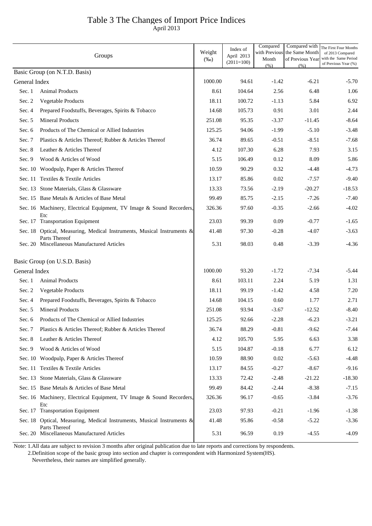# Table 3 The Changes of Import Price Indices

April 2013

|               | Groups                                                                                  | Weight<br>$(\%0)$ | Index of<br>April 2013<br>$(2011=100)$ | Compared<br>Month<br>(% ) | Compared with<br>with Previous the Same Month<br>of Previous Year | The First Four Months<br>of 2013 Compared<br>with the Same Period<br>of Previous Year (%) |
|---------------|-----------------------------------------------------------------------------------------|-------------------|----------------------------------------|---------------------------|-------------------------------------------------------------------|-------------------------------------------------------------------------------------------|
|               | Basic Group (on N.T.D. Basis)                                                           |                   |                                        |                           | (% )                                                              |                                                                                           |
| General Index |                                                                                         | 1000.00           | 94.61                                  | $-1.42$                   | $-6.21$                                                           | $-5.70$                                                                                   |
| Sec. 1        | <b>Animal Products</b>                                                                  | 8.61              | 104.64                                 | 2.56                      | 6.48                                                              | 1.06                                                                                      |
| Sec. 2        | Vegetable Products                                                                      | 18.11             | 100.72                                 | $-1.13$                   | 5.84                                                              | 6.92                                                                                      |
| Sec. 4        | Prepared Foodstuffs, Beverages, Spirits & Tobacco                                       | 14.68             | 105.73                                 | 0.91                      | 3.01                                                              | 2.44                                                                                      |
| Sec. 5        | <b>Mineral Products</b>                                                                 | 251.08            | 95.35                                  | $-3.37$                   | $-11.45$                                                          | $-8.64$                                                                                   |
| Sec. 6        | Products of The Chemical or Allied Industries                                           | 125.25            | 94.06                                  | $-1.99$                   | $-5.10$                                                           | $-3.48$                                                                                   |
| Sec. 7        | Plastics & Articles Thereof; Rubber & Articles Thereof                                  | 36.74             | 89.65                                  | $-0.51$                   | $-8.51$                                                           | $-7.68$                                                                                   |
| Sec. 8        | Leather & Articles Thereof                                                              | 4.12              | 107.30                                 | 6.28                      | 7.93                                                              | 3.15                                                                                      |
| Sec. 9        | Wood & Articles of Wood                                                                 | 5.15              | 106.49                                 | 0.12                      | 8.09                                                              | 5.86                                                                                      |
|               | Sec. 10 Woodpulp, Paper & Articles Thereof                                              | 10.59             | 90.29                                  | 0.32                      | $-4.48$                                                           | $-4.73$                                                                                   |
|               | Sec. 11 Textiles & Textile Articles                                                     | 13.17             | 85.86                                  | $0.02\,$                  | $-7.57$                                                           | $-9.40$                                                                                   |
|               | Sec. 13 Stone Materials, Glass & Glassware                                              | 13.33             | 73.56                                  | $-2.19$                   | $-20.27$                                                          | $-18.53$                                                                                  |
|               | Sec. 15 Base Metals & Articles of Base Metal                                            | 99.49             | 85.75                                  | $-2.15$                   | $-7.26$                                                           | $-7.40$                                                                                   |
|               | Sec. 16 Machinery, Electrical Equipment, TV Image & Sound Recorders,<br>Etc             | 326.36            | 97.60                                  | $-0.35$                   | $-2.66$                                                           | $-4.02$                                                                                   |
|               | Sec. 17 Transportation Equipment                                                        | 23.03             | 99.39                                  | 0.09                      | $-0.77$                                                           | $-1.65$                                                                                   |
|               | Sec. 18 Optical, Measuring, Medical Instruments, Musical Instruments &<br>Parts Thereof | 41.48             | 97.30                                  | $-0.28$                   | $-4.07$                                                           | $-3.63$                                                                                   |
|               | Sec. 20 Miscellaneous Manufactured Articles                                             | 5.31              | 98.03                                  | 0.48                      | $-3.39$                                                           | $-4.36$                                                                                   |
|               | Basic Group (on U.S.D. Basis)                                                           |                   |                                        |                           |                                                                   |                                                                                           |
| General Index |                                                                                         | 1000.00           | 93.20                                  | $-1.72$                   | $-7.34$                                                           | $-5.44$                                                                                   |
| Sec. 1        | <b>Animal Products</b>                                                                  | 8.61              | 103.11                                 | 2.24                      | 5.19                                                              | 1.31                                                                                      |
| Sec. 2        | Vegetable Products                                                                      | 18.11             | 99.19                                  | $-1.42$                   | 4.58                                                              | 7.20                                                                                      |
| Sec. 4        | Prepared Foodstuffs, Beverages, Spirits & Tobacco                                       | 14.68             | 104.15                                 | 0.60                      | 1.77                                                              | 2.71                                                                                      |
| Sec. 5        | <b>Mineral Products</b>                                                                 | 251.08            | 93.94                                  | $-3.67$                   | $-12.52$                                                          | $-8.40$                                                                                   |
| Sec. 6        | Products of The Chemical or Allied Industries                                           | 125.25            | 92.66                                  | $-2.28$                   | $-6.23$                                                           | $-3.21$                                                                                   |
| Sec. 7        | Plastics & Articles Thereof; Rubber & Articles Thereof                                  | 36.74             | 88.29                                  | $-0.81$                   | $-9.62$                                                           | $-7.44$                                                                                   |
| Sec. 8        | Leather & Articles Thereof                                                              | 4.12              | 105.70                                 | 5.95                      | 6.63                                                              | 3.38                                                                                      |
| Sec. 9        | Wood & Articles of Wood                                                                 | 5.15              | 104.87                                 | $-0.18$                   | 6.77                                                              | 6.12                                                                                      |
|               | Sec. 10 Woodpulp, Paper & Articles Thereof                                              | 10.59             | 88.90                                  | $0.02\,$                  | $-5.63$                                                           | $-4.48$                                                                                   |
|               | Sec. 11 Textiles & Textile Articles                                                     | 13.17             | 84.55                                  | $-0.27$                   | $-8.67$                                                           | $-9.16$                                                                                   |
|               | Sec. 13 Stone Materials, Glass & Glassware                                              | 13.33             | 72.42                                  | $-2.48$                   | $-21.22$                                                          | $-18.30$                                                                                  |
|               | Sec. 15 Base Metals & Articles of Base Metal                                            | 99.49             | 84.42                                  | $-2.44$                   | $-8.38$                                                           | $-7.15$                                                                                   |
|               | Sec. 16 Machinery, Electrical Equipment, TV Image & Sound Recorders,<br>Etc             | 326.36            | 96.17                                  | $-0.65$                   | $-3.84$                                                           | $-3.76$                                                                                   |
|               | Sec. 17 Transportation Equipment                                                        | 23.03             | 97.93                                  | $-0.21$                   | $-1.96$                                                           | $-1.38$                                                                                   |
|               | Sec. 18 Optical, Measuring, Medical Instruments, Musical Instruments &<br>Parts Thereof | 41.48             | 95.86                                  | $-0.58$                   | $-5.22$                                                           | $-3.36$                                                                                   |
|               | Sec. 20 Miscellaneous Manufactured Articles                                             | 5.31              | 96.59                                  | 0.19                      | $-4.55$                                                           | $-4.09$                                                                                   |

Note: 1.All data are subject to revision 3 months after original publication due to late reports and corrections by respondents.

2.Definition scope of the basic group into section and chapter is correspondent with Harmonized System(HS).

Nevertheless, their names are simplified generally.